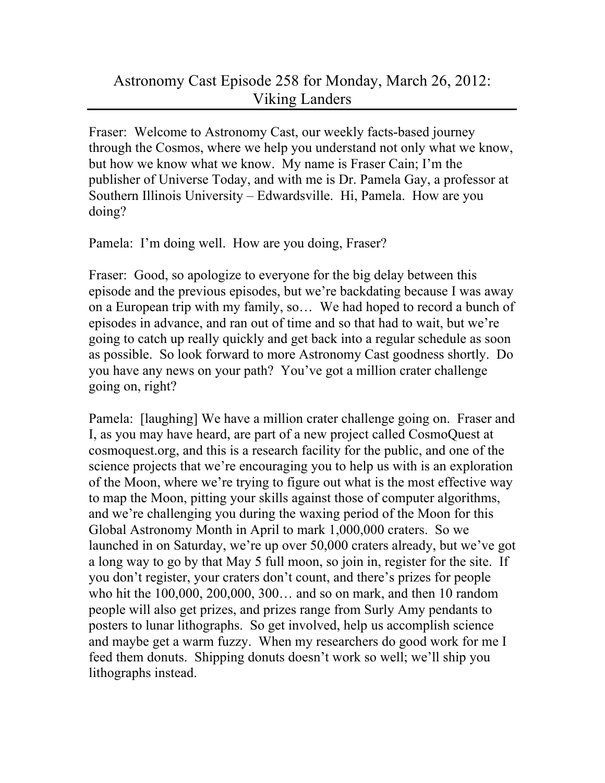## Astronomy Cast Episode 258 for Monday, March 26, 2012: Viking Landers

Fraser: Welcome to Astronomy Cast, our weekly facts-based journey through the Cosmos, where we help you understand not only what we know, but how we know what we know. My name is Fraser Cain; I'm the publisher of Universe Today, and with me is Dr. Pamela Gay, a professor at Southern Illinois University – Edwardsville. Hi, Pamela. How are you doing?

Pamela: I'm doing well. How are you doing, Fraser?

Fraser: Good, so apologize to everyone for the big delay between this episode and the previous episodes, but we're backdating because I was away on a European trip with my family, so… We had hoped to record a bunch of episodes in advance, and ran out of time and so that had to wait, but we're going to catch up really quickly and get back into a regular schedule as soon as possible. So look forward to more Astronomy Cast goodness shortly. Do you have any news on your path? You've got a million crater challenge going on, right?

Pamela: [laughing] We have a million crater challenge going on. Fraser and I, as you may have heard, are part of a new project called CosmoQuest at cosmoquest.org, and this is a research facility for the public, and one of the science projects that we're encouraging you to help us with is an exploration of the Moon, where we're trying to figure out what is the most effective way to map the Moon, pitting your skills against those of computer algorithms, and we're challenging you during the waxing period of the Moon for this Global Astronomy Month in April to mark 1,000,000 craters. So we launched in on Saturday, we're up over 50,000 craters already, but we've got a long way to go by that May 5 full moon, so join in, register for the site. If you don't register, your craters don't count, and there's prizes for people who hit the 100,000, 200,000, 300… and so on mark, and then 10 random people will also get prizes, and prizes range from Surly Amy pendants to posters to lunar lithographs. So get involved, help us accomplish science and maybe get a warm fuzzy. When my researchers do good work for me I feed them donuts. Shipping donuts doesn't work so well; we'll ship you lithographs instead.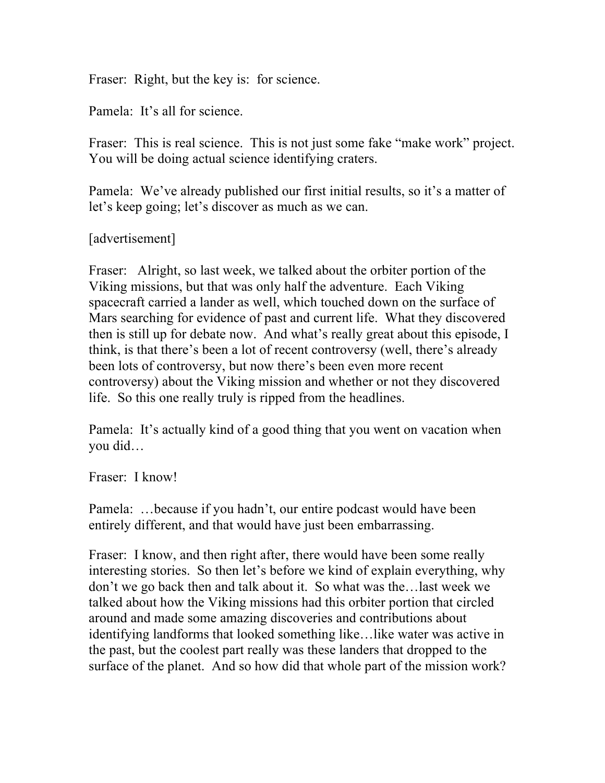Fraser: Right, but the key is: for science.

Pamela: It's all for science.

Fraser: This is real science. This is not just some fake "make work" project. You will be doing actual science identifying craters.

Pamela: We've already published our first initial results, so it's a matter of let's keep going; let's discover as much as we can.

[advertisement]

Fraser: Alright, so last week, we talked about the orbiter portion of the Viking missions, but that was only half the adventure. Each Viking spacecraft carried a lander as well, which touched down on the surface of Mars searching for evidence of past and current life. What they discovered then is still up for debate now. And what's really great about this episode, I think, is that there's been a lot of recent controversy (well, there's already been lots of controversy, but now there's been even more recent controversy) about the Viking mission and whether or not they discovered life. So this one really truly is ripped from the headlines.

Pamela: It's actually kind of a good thing that you went on vacation when you did…

Fraser: I know!

Pamela: …because if you hadn't, our entire podcast would have been entirely different, and that would have just been embarrassing.

Fraser: I know, and then right after, there would have been some really interesting stories. So then let's before we kind of explain everything, why don't we go back then and talk about it. So what was the…last week we talked about how the Viking missions had this orbiter portion that circled around and made some amazing discoveries and contributions about identifying landforms that looked something like…like water was active in the past, but the coolest part really was these landers that dropped to the surface of the planet. And so how did that whole part of the mission work?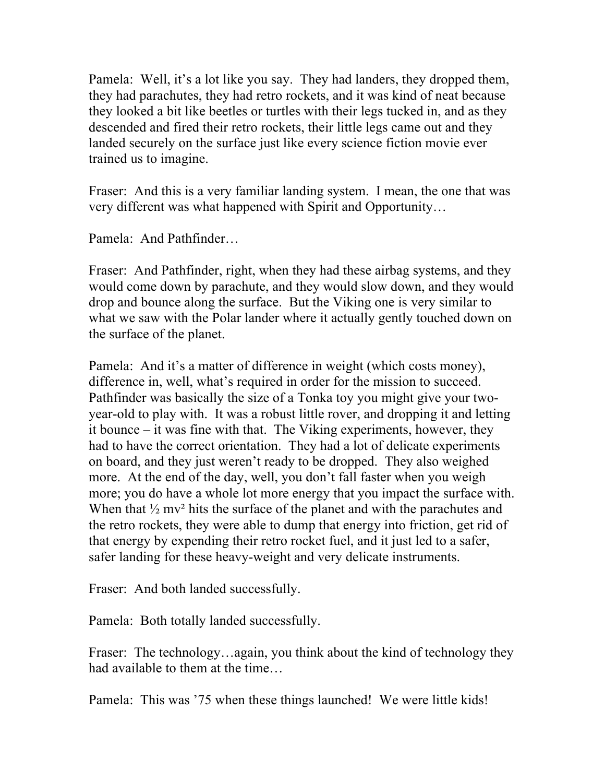Pamela: Well, it's a lot like you say. They had landers, they dropped them, they had parachutes, they had retro rockets, and it was kind of neat because they looked a bit like beetles or turtles with their legs tucked in, and as they descended and fired their retro rockets, their little legs came out and they landed securely on the surface just like every science fiction movie ever trained us to imagine.

Fraser: And this is a very familiar landing system. I mean, the one that was very different was what happened with Spirit and Opportunity…

Pamela: And Pathfinder…

Fraser: And Pathfinder, right, when they had these airbag systems, and they would come down by parachute, and they would slow down, and they would drop and bounce along the surface. But the Viking one is very similar to what we saw with the Polar lander where it actually gently touched down on the surface of the planet.

Pamela: And it's a matter of difference in weight (which costs money), difference in, well, what's required in order for the mission to succeed. Pathfinder was basically the size of a Tonka toy you might give your twoyear-old to play with. It was a robust little rover, and dropping it and letting it bounce – it was fine with that. The Viking experiments, however, they had to have the correct orientation. They had a lot of delicate experiments on board, and they just weren't ready to be dropped. They also weighed more. At the end of the day, well, you don't fall faster when you weigh more; you do have a whole lot more energy that you impact the surface with. When that  $\frac{1}{2}$  mv<sup>2</sup> hits the surface of the planet and with the parachutes and the retro rockets, they were able to dump that energy into friction, get rid of that energy by expending their retro rocket fuel, and it just led to a safer, safer landing for these heavy-weight and very delicate instruments.

Fraser: And both landed successfully.

Pamela: Both totally landed successfully.

Fraser: The technology…again, you think about the kind of technology they had available to them at the time…

Pamela: This was '75 when these things launched! We were little kids!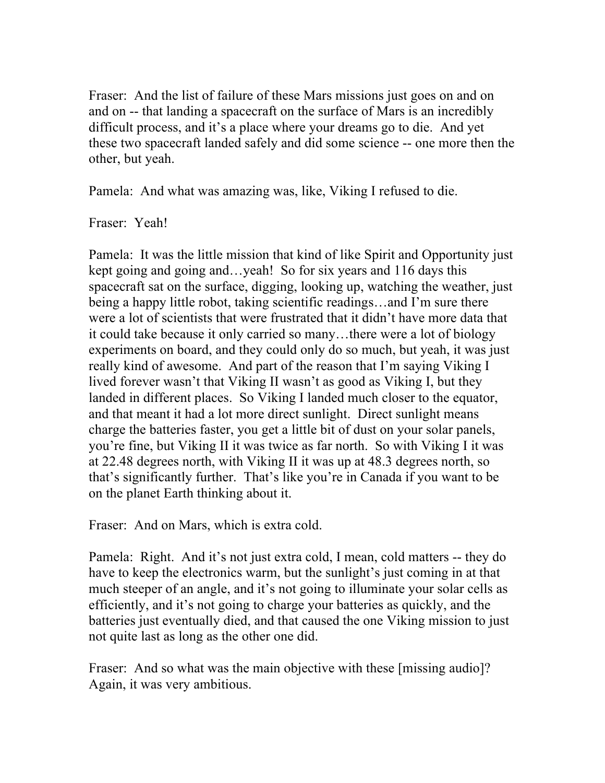Fraser: And the list of failure of these Mars missions just goes on and on and on -- that landing a spacecraft on the surface of Mars is an incredibly difficult process, and it's a place where your dreams go to die. And yet these two spacecraft landed safely and did some science -- one more then the other, but yeah.

Pamela: And what was amazing was, like, Viking I refused to die.

Fraser: Yeah!

Pamela: It was the little mission that kind of like Spirit and Opportunity just kept going and going and...yeah! So for six years and 116 days this spacecraft sat on the surface, digging, looking up, watching the weather, just being a happy little robot, taking scientific readings…and I'm sure there were a lot of scientists that were frustrated that it didn't have more data that it could take because it only carried so many…there were a lot of biology experiments on board, and they could only do so much, but yeah, it was just really kind of awesome. And part of the reason that I'm saying Viking I lived forever wasn't that Viking II wasn't as good as Viking I, but they landed in different places. So Viking I landed much closer to the equator, and that meant it had a lot more direct sunlight. Direct sunlight means charge the batteries faster, you get a little bit of dust on your solar panels, you're fine, but Viking II it was twice as far north. So with Viking I it was at 22.48 degrees north, with Viking II it was up at 48.3 degrees north, so that's significantly further. That's like you're in Canada if you want to be on the planet Earth thinking about it.

Fraser: And on Mars, which is extra cold.

Pamela: Right. And it's not just extra cold, I mean, cold matters -- they do have to keep the electronics warm, but the sunlight's just coming in at that much steeper of an angle, and it's not going to illuminate your solar cells as efficiently, and it's not going to charge your batteries as quickly, and the batteries just eventually died, and that caused the one Viking mission to just not quite last as long as the other one did.

Fraser: And so what was the main objective with these [missing audio]? Again, it was very ambitious.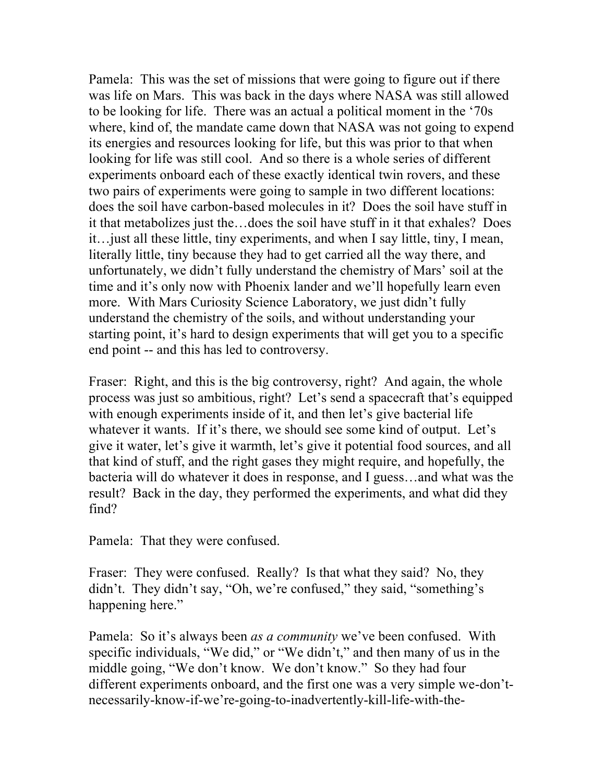Pamela: This was the set of missions that were going to figure out if there was life on Mars. This was back in the days where NASA was still allowed to be looking for life. There was an actual a political moment in the '70s where, kind of, the mandate came down that NASA was not going to expend its energies and resources looking for life, but this was prior to that when looking for life was still cool. And so there is a whole series of different experiments onboard each of these exactly identical twin rovers, and these two pairs of experiments were going to sample in two different locations: does the soil have carbon-based molecules in it? Does the soil have stuff in it that metabolizes just the…does the soil have stuff in it that exhales? Does it…just all these little, tiny experiments, and when I say little, tiny, I mean, literally little, tiny because they had to get carried all the way there, and unfortunately, we didn't fully understand the chemistry of Mars' soil at the time and it's only now with Phoenix lander and we'll hopefully learn even more. With Mars Curiosity Science Laboratory, we just didn't fully understand the chemistry of the soils, and without understanding your starting point, it's hard to design experiments that will get you to a specific end point -- and this has led to controversy.

Fraser: Right, and this is the big controversy, right? And again, the whole process was just so ambitious, right? Let's send a spacecraft that's equipped with enough experiments inside of it, and then let's give bacterial life whatever it wants. If it's there, we should see some kind of output. Let's give it water, let's give it warmth, let's give it potential food sources, and all that kind of stuff, and the right gases they might require, and hopefully, the bacteria will do whatever it does in response, and I guess…and what was the result? Back in the day, they performed the experiments, and what did they find?

Pamela: That they were confused.

Fraser: They were confused. Really? Is that what they said? No, they didn't. They didn't say, "Oh, we're confused," they said, "something's happening here."

Pamela: So it's always been *as a community* we've been confused. With specific individuals, "We did," or "We didn't," and then many of us in the middle going, "We don't know. We don't know." So they had four different experiments onboard, and the first one was a very simple we-don'tnecessarily-know-if-we're-going-to-inadvertently-kill-life-with-the-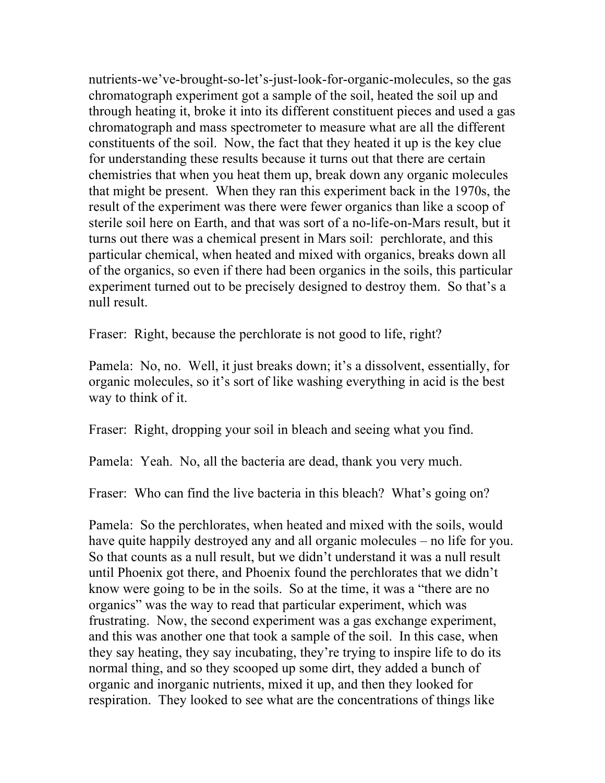nutrients-we've-brought-so-let's-just-look-for-organic-molecules, so the gas chromatograph experiment got a sample of the soil, heated the soil up and through heating it, broke it into its different constituent pieces and used a gas chromatograph and mass spectrometer to measure what are all the different constituents of the soil. Now, the fact that they heated it up is the key clue for understanding these results because it turns out that there are certain chemistries that when you heat them up, break down any organic molecules that might be present. When they ran this experiment back in the 1970s, the result of the experiment was there were fewer organics than like a scoop of sterile soil here on Earth, and that was sort of a no-life-on-Mars result, but it turns out there was a chemical present in Mars soil: perchlorate, and this particular chemical, when heated and mixed with organics, breaks down all of the organics, so even if there had been organics in the soils, this particular experiment turned out to be precisely designed to destroy them. So that's a null result.

Fraser: Right, because the perchlorate is not good to life, right?

Pamela: No, no. Well, it just breaks down; it's a dissolvent, essentially, for organic molecules, so it's sort of like washing everything in acid is the best way to think of it.

Fraser: Right, dropping your soil in bleach and seeing what you find.

Pamela: Yeah. No, all the bacteria are dead, thank you very much.

Fraser: Who can find the live bacteria in this bleach? What's going on?

Pamela: So the perchlorates, when heated and mixed with the soils, would have quite happily destroyed any and all organic molecules – no life for you. So that counts as a null result, but we didn't understand it was a null result until Phoenix got there, and Phoenix found the perchlorates that we didn't know were going to be in the soils. So at the time, it was a "there are no organics" was the way to read that particular experiment, which was frustrating. Now, the second experiment was a gas exchange experiment, and this was another one that took a sample of the soil. In this case, when they say heating, they say incubating, they're trying to inspire life to do its normal thing, and so they scooped up some dirt, they added a bunch of organic and inorganic nutrients, mixed it up, and then they looked for respiration. They looked to see what are the concentrations of things like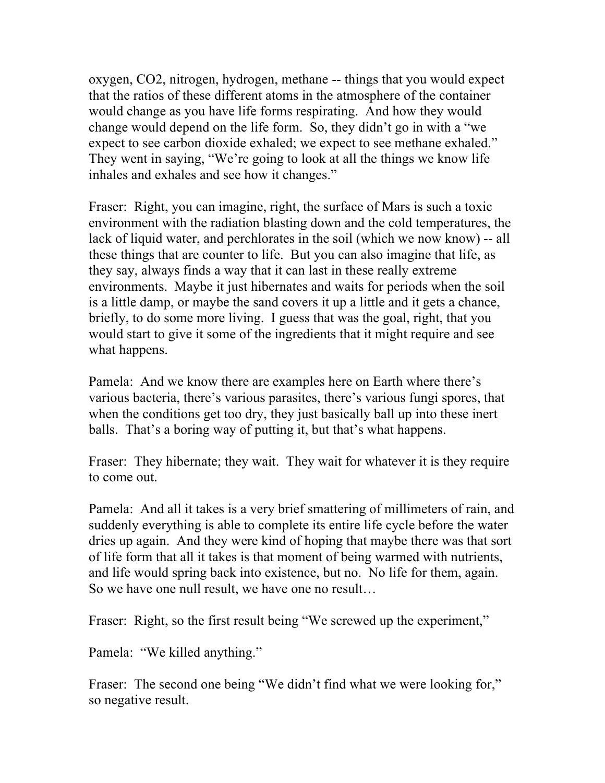oxygen, CO2, nitrogen, hydrogen, methane -- things that you would expect that the ratios of these different atoms in the atmosphere of the container would change as you have life forms respirating. And how they would change would depend on the life form. So, they didn't go in with a "we expect to see carbon dioxide exhaled; we expect to see methane exhaled." They went in saying, "We're going to look at all the things we know life inhales and exhales and see how it changes."

Fraser: Right, you can imagine, right, the surface of Mars is such a toxic environment with the radiation blasting down and the cold temperatures, the lack of liquid water, and perchlorates in the soil (which we now know) -- all these things that are counter to life. But you can also imagine that life, as they say, always finds a way that it can last in these really extreme environments. Maybe it just hibernates and waits for periods when the soil is a little damp, or maybe the sand covers it up a little and it gets a chance, briefly, to do some more living. I guess that was the goal, right, that you would start to give it some of the ingredients that it might require and see what happens.

Pamela: And we know there are examples here on Earth where there's various bacteria, there's various parasites, there's various fungi spores, that when the conditions get too dry, they just basically ball up into these inert balls. That's a boring way of putting it, but that's what happens.

Fraser: They hibernate; they wait. They wait for whatever it is they require to come out.

Pamela: And all it takes is a very brief smattering of millimeters of rain, and suddenly everything is able to complete its entire life cycle before the water dries up again. And they were kind of hoping that maybe there was that sort of life form that all it takes is that moment of being warmed with nutrients, and life would spring back into existence, but no. No life for them, again. So we have one null result, we have one no result…

Fraser: Right, so the first result being "We screwed up the experiment,"

Pamela: "We killed anything."

Fraser: The second one being "We didn't find what we were looking for," so negative result.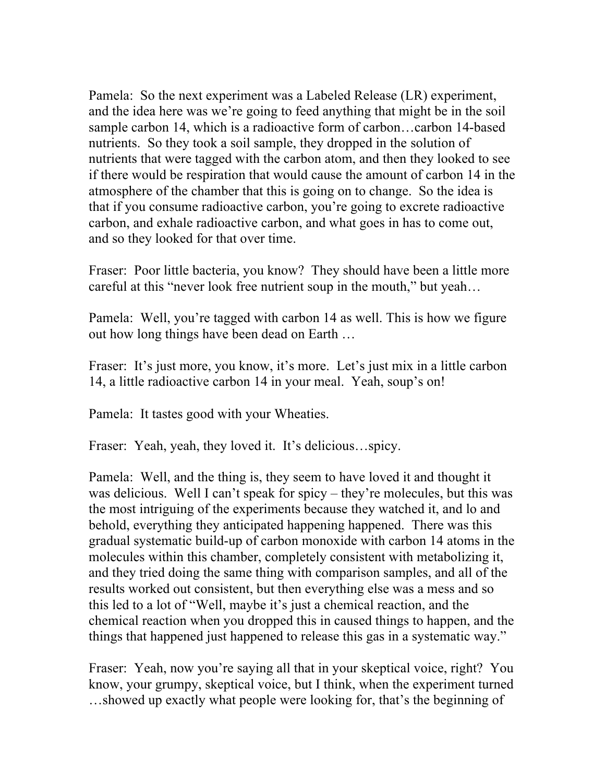Pamela: So the next experiment was a Labeled Release (LR) experiment, and the idea here was we're going to feed anything that might be in the soil sample carbon 14, which is a radioactive form of carbon…carbon 14-based nutrients. So they took a soil sample, they dropped in the solution of nutrients that were tagged with the carbon atom, and then they looked to see if there would be respiration that would cause the amount of carbon 14 in the atmosphere of the chamber that this is going on to change. So the idea is that if you consume radioactive carbon, you're going to excrete radioactive carbon, and exhale radioactive carbon, and what goes in has to come out, and so they looked for that over time.

Fraser: Poor little bacteria, you know? They should have been a little more careful at this "never look free nutrient soup in the mouth," but yeah…

Pamela: Well, you're tagged with carbon 14 as well. This is how we figure out how long things have been dead on Earth …

Fraser: It's just more, you know, it's more. Let's just mix in a little carbon 14, a little radioactive carbon 14 in your meal. Yeah, soup's on!

Pamela: It tastes good with your Wheaties.

Fraser: Yeah, yeah, they loved it. It's delicious…spicy.

Pamela: Well, and the thing is, they seem to have loved it and thought it was delicious. Well I can't speak for spicy – they're molecules, but this was the most intriguing of the experiments because they watched it, and lo and behold, everything they anticipated happening happened. There was this gradual systematic build-up of carbon monoxide with carbon 14 atoms in the molecules within this chamber, completely consistent with metabolizing it, and they tried doing the same thing with comparison samples, and all of the results worked out consistent, but then everything else was a mess and so this led to a lot of "Well, maybe it's just a chemical reaction, and the chemical reaction when you dropped this in caused things to happen, and the things that happened just happened to release this gas in a systematic way."

Fraser: Yeah, now you're saying all that in your skeptical voice, right? You know, your grumpy, skeptical voice, but I think, when the experiment turned …showed up exactly what people were looking for, that's the beginning of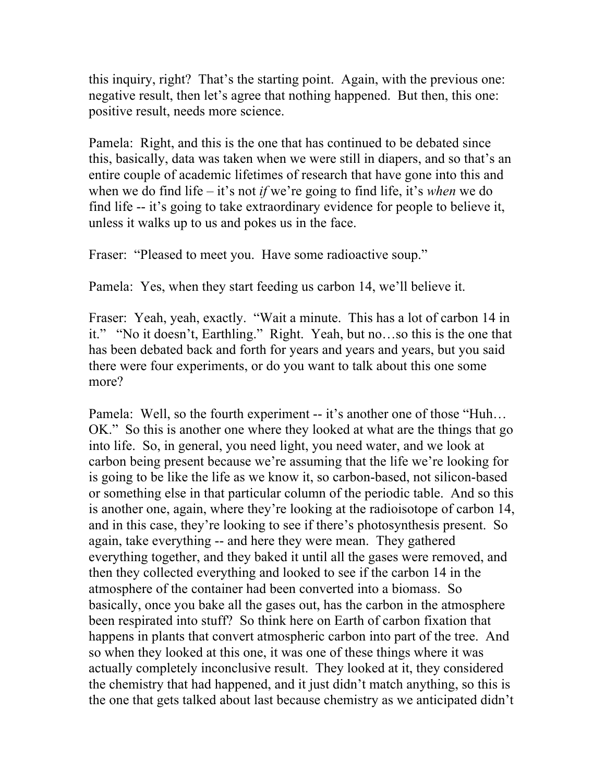this inquiry, right? That's the starting point. Again, with the previous one: negative result, then let's agree that nothing happened. But then, this one: positive result, needs more science.

Pamela: Right, and this is the one that has continued to be debated since this, basically, data was taken when we were still in diapers, and so that's an entire couple of academic lifetimes of research that have gone into this and when we do find life – it's not *if* we're going to find life, it's *when* we do find life -- it's going to take extraordinary evidence for people to believe it, unless it walks up to us and pokes us in the face.

Fraser: "Pleased to meet you. Have some radioactive soup."

Pamela: Yes, when they start feeding us carbon 14, we'll believe it.

Fraser: Yeah, yeah, exactly. "Wait a minute. This has a lot of carbon 14 in it." "No it doesn't, Earthling." Right. Yeah, but no…so this is the one that has been debated back and forth for years and years and years, but you said there were four experiments, or do you want to talk about this one some more?

Pamela: Well, so the fourth experiment -- it's another one of those "Huh... OK." So this is another one where they looked at what are the things that go into life. So, in general, you need light, you need water, and we look at carbon being present because we're assuming that the life we're looking for is going to be like the life as we know it, so carbon-based, not silicon-based or something else in that particular column of the periodic table. And so this is another one, again, where they're looking at the radioisotope of carbon 14, and in this case, they're looking to see if there's photosynthesis present. So again, take everything -- and here they were mean. They gathered everything together, and they baked it until all the gases were removed, and then they collected everything and looked to see if the carbon 14 in the atmosphere of the container had been converted into a biomass. So basically, once you bake all the gases out, has the carbon in the atmosphere been respirated into stuff? So think here on Earth of carbon fixation that happens in plants that convert atmospheric carbon into part of the tree. And so when they looked at this one, it was one of these things where it was actually completely inconclusive result. They looked at it, they considered the chemistry that had happened, and it just didn't match anything, so this is the one that gets talked about last because chemistry as we anticipated didn't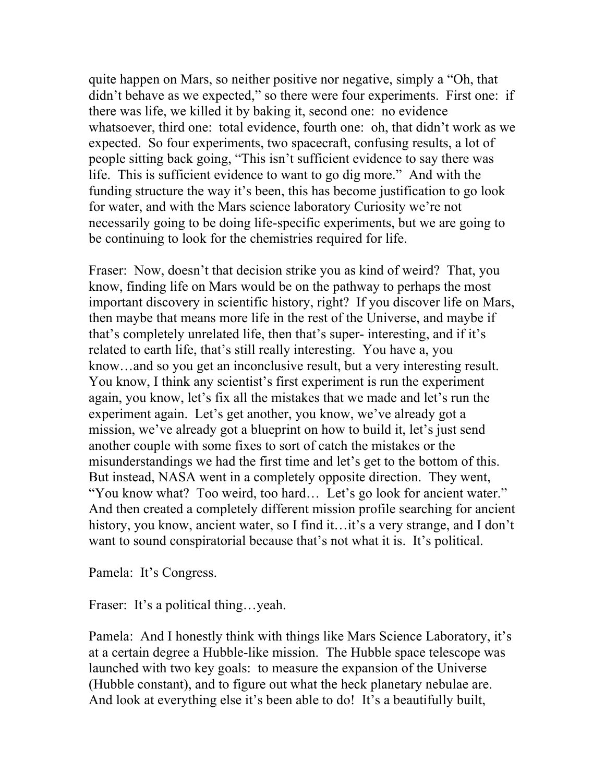quite happen on Mars, so neither positive nor negative, simply a "Oh, that didn't behave as we expected," so there were four experiments. First one: if there was life, we killed it by baking it, second one: no evidence whatsoever, third one: total evidence, fourth one: oh, that didn't work as we expected. So four experiments, two spacecraft, confusing results, a lot of people sitting back going, "This isn't sufficient evidence to say there was life. This is sufficient evidence to want to go dig more." And with the funding structure the way it's been, this has become justification to go look for water, and with the Mars science laboratory Curiosity we're not necessarily going to be doing life-specific experiments, but we are going to be continuing to look for the chemistries required for life.

Fraser: Now, doesn't that decision strike you as kind of weird? That, you know, finding life on Mars would be on the pathway to perhaps the most important discovery in scientific history, right? If you discover life on Mars, then maybe that means more life in the rest of the Universe, and maybe if that's completely unrelated life, then that's super- interesting, and if it's related to earth life, that's still really interesting. You have a, you know…and so you get an inconclusive result, but a very interesting result. You know, I think any scientist's first experiment is run the experiment again, you know, let's fix all the mistakes that we made and let's run the experiment again. Let's get another, you know, we've already got a mission, we've already got a blueprint on how to build it, let's just send another couple with some fixes to sort of catch the mistakes or the misunderstandings we had the first time and let's get to the bottom of this. But instead, NASA went in a completely opposite direction. They went, "You know what? Too weird, too hard… Let's go look for ancient water." And then created a completely different mission profile searching for ancient history, you know, ancient water, so I find it...it's a very strange, and I don't want to sound conspiratorial because that's not what it is. It's political.

Pamela: It's Congress.

Fraser: It's a political thing...yeah.

Pamela: And I honestly think with things like Mars Science Laboratory, it's at a certain degree a Hubble-like mission. The Hubble space telescope was launched with two key goals: to measure the expansion of the Universe (Hubble constant), and to figure out what the heck planetary nebulae are. And look at everything else it's been able to do! It's a beautifully built,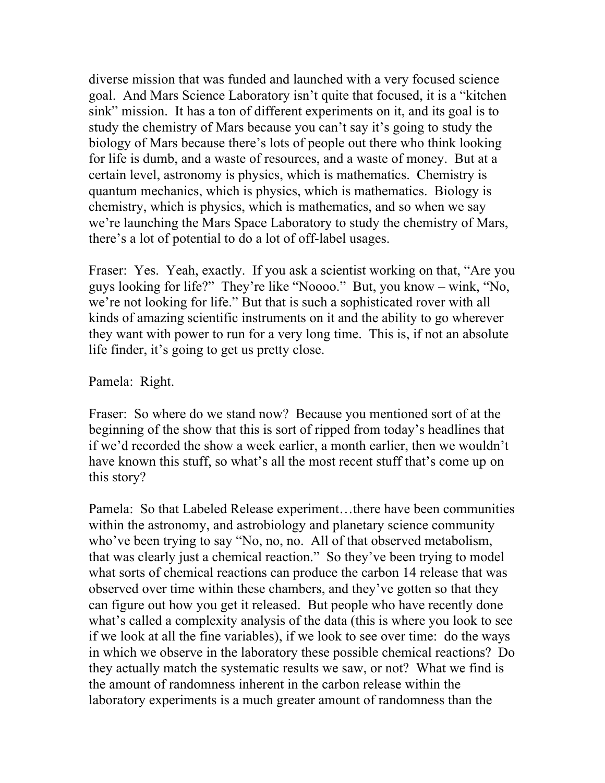diverse mission that was funded and launched with a very focused science goal. And Mars Science Laboratory isn't quite that focused, it is a "kitchen sink" mission. It has a ton of different experiments on it, and its goal is to study the chemistry of Mars because you can't say it's going to study the biology of Mars because there's lots of people out there who think looking for life is dumb, and a waste of resources, and a waste of money. But at a certain level, astronomy is physics, which is mathematics. Chemistry is quantum mechanics, which is physics, which is mathematics. Biology is chemistry, which is physics, which is mathematics, and so when we say we're launching the Mars Space Laboratory to study the chemistry of Mars, there's a lot of potential to do a lot of off-label usages.

Fraser: Yes. Yeah, exactly. If you ask a scientist working on that, "Are you guys looking for life?" They're like "Noooo." But, you know – wink, "No, we're not looking for life." But that is such a sophisticated rover with all kinds of amazing scientific instruments on it and the ability to go wherever they want with power to run for a very long time. This is, if not an absolute life finder, it's going to get us pretty close.

Pamela: Right.

Fraser: So where do we stand now? Because you mentioned sort of at the beginning of the show that this is sort of ripped from today's headlines that if we'd recorded the show a week earlier, a month earlier, then we wouldn't have known this stuff, so what's all the most recent stuff that's come up on this story?

Pamela: So that Labeled Release experiment…there have been communities within the astronomy, and astrobiology and planetary science community who've been trying to say "No, no, no. All of that observed metabolism, that was clearly just a chemical reaction." So they've been trying to model what sorts of chemical reactions can produce the carbon 14 release that was observed over time within these chambers, and they've gotten so that they can figure out how you get it released. But people who have recently done what's called a complexity analysis of the data (this is where you look to see if we look at all the fine variables), if we look to see over time: do the ways in which we observe in the laboratory these possible chemical reactions? Do they actually match the systematic results we saw, or not? What we find is the amount of randomness inherent in the carbon release within the laboratory experiments is a much greater amount of randomness than the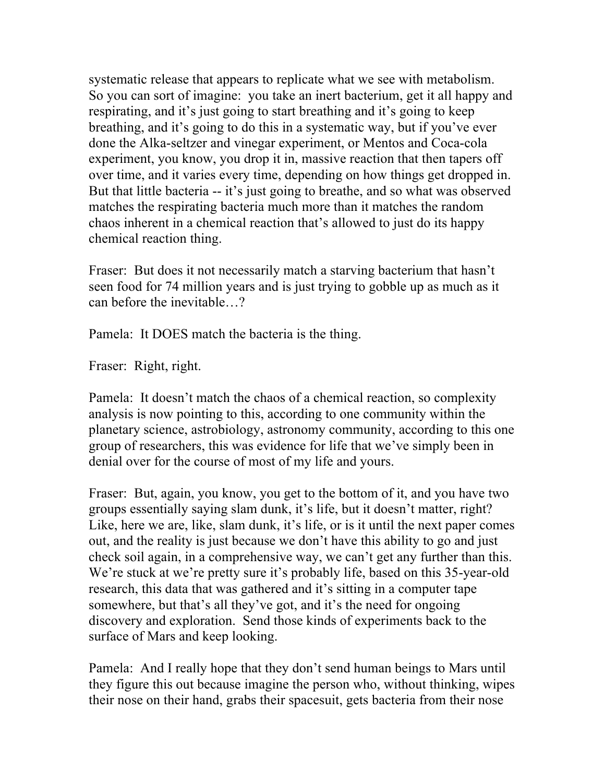systematic release that appears to replicate what we see with metabolism. So you can sort of imagine: you take an inert bacterium, get it all happy and respirating, and it's just going to start breathing and it's going to keep breathing, and it's going to do this in a systematic way, but if you've ever done the Alka-seltzer and vinegar experiment, or Mentos and Coca-cola experiment, you know, you drop it in, massive reaction that then tapers off over time, and it varies every time, depending on how things get dropped in. But that little bacteria -- it's just going to breathe, and so what was observed matches the respirating bacteria much more than it matches the random chaos inherent in a chemical reaction that's allowed to just do its happy chemical reaction thing.

Fraser: But does it not necessarily match a starving bacterium that hasn't seen food for 74 million years and is just trying to gobble up as much as it can before the inevitable…?

Pamela: It DOES match the bacteria is the thing.

Fraser: Right, right.

Pamela: It doesn't match the chaos of a chemical reaction, so complexity analysis is now pointing to this, according to one community within the planetary science, astrobiology, astronomy community, according to this one group of researchers, this was evidence for life that we've simply been in denial over for the course of most of my life and yours.

Fraser: But, again, you know, you get to the bottom of it, and you have two groups essentially saying slam dunk, it's life, but it doesn't matter, right? Like, here we are, like, slam dunk, it's life, or is it until the next paper comes out, and the reality is just because we don't have this ability to go and just check soil again, in a comprehensive way, we can't get any further than this. We're stuck at we're pretty sure it's probably life, based on this 35-year-old research, this data that was gathered and it's sitting in a computer tape somewhere, but that's all they've got, and it's the need for ongoing discovery and exploration. Send those kinds of experiments back to the surface of Mars and keep looking.

Pamela: And I really hope that they don't send human beings to Mars until they figure this out because imagine the person who, without thinking, wipes their nose on their hand, grabs their spacesuit, gets bacteria from their nose